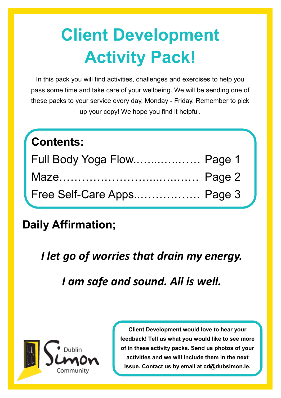# **Client Development Activity Pack!**

In this pack you will find activities, challenges and exercises to help you pass some time and take care of your wellbeing. We will be sending one of these packs to your service every day, Monday - Friday. Remember to pick up your copy! We hope you find it helpful.

## **Contents:** Full Body Yoga Flow..…...…..…… Page 1 Maze……………………………… Page 2 Free Self-Care Apps..……………. Page 3

### **Daily Affirmation;**

*I let go of worries that drain my energy.*

*I am safe and sound. All is well.*



**Client Development would love to hear your feedback! Tell us what you would like to see more of in these activity packs. Send us photos of your activities and we will include them in the next issue. Contact us by email at cd@dubsimon.ie.**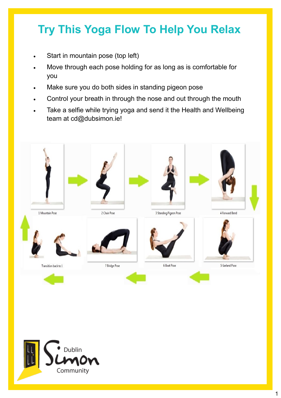## **Try This Yoga Flow To Help You Relax**

- Start in mountain pose (top left)
- Move through each pose holding for as long as is comfortable for you
- Make sure you do both sides in standing pigeon pose
- Control your breath in through the nose and out through the mouth
- Take a selfie while trying yoga and send it the Health and Wellbeing team at cd@dubsimon.ie!



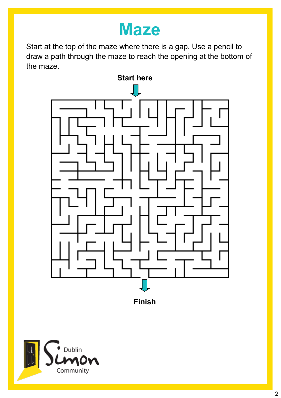## **Maze**

Start at the top of the maze where there is a gap. Use a pencil to draw a path through the maze to reach the opening at the bottom of the maze.



**Finish**